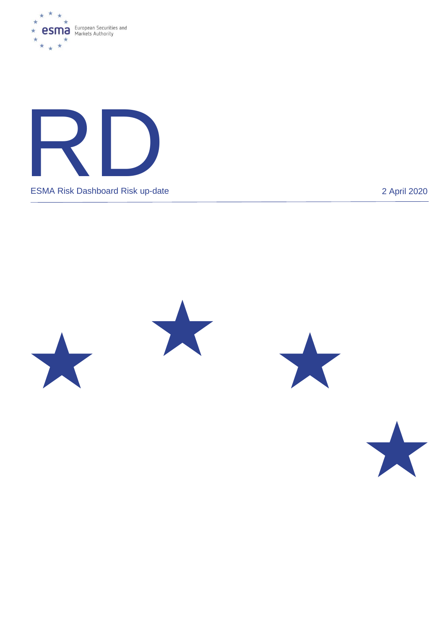









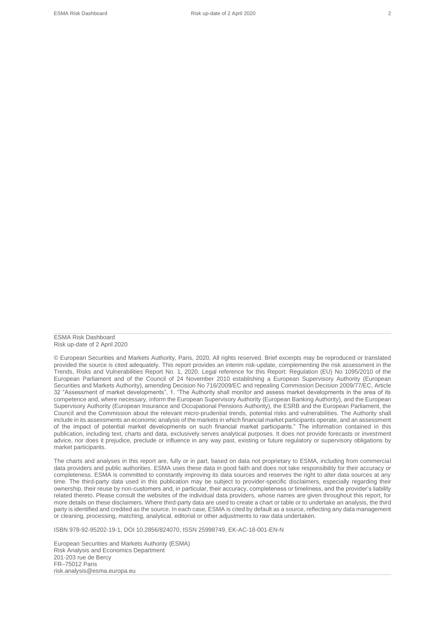ESMA Risk Dashboard Risk up-date of 2 April 2020

© European Securities and Markets Authority, Paris, 2020. All rights reserved. Brief excerpts may be reproduced or translated provided the source is cited adequately. This report provides an interim risk-update, complementing the risk assessment in the Trends, Risks and Vulnerabilities Report No. 1, 2020. Legal reference for this Report: Regulation (EU) No 1095/2010 of the European Parliament and of the Council of 24 November 2010 establishing a European Supervisory Authority (European Securities and Markets Authority), amending Decision No 716/2009/EC and repealing Commission Decision 2009/77/EC, Article 32 "Assessment of market developments", 1. "The Authority shall monitor and assess market developments in the area of its competence and, where necessary, inform the European Supervisory Authority (European Banking Authority), and the European Supervisory Authority (European Insurance and Occupational Pensions Authority), the ESRB and the European Parliament, the Council and the Commission about the relevant micro-prudential trends, potential risks and vulnerabilities. The Authority shall include in its assessments an economic analysis of the markets in which financial market participants operate, and an assessment of the impact of potential market developments on such financial market participants." The information contained in this publication, including text, charts and data, exclusively serves analytical purposes. It does not provide forecasts or investment advice, nor does it prejudice, preclude or influence in any way past, existing or future regulatory or supervisory obligations by market participants.

The charts and analyses in this report are, fully or in part, based on data not proprietary to ESMA, including from commercial data providers and public authorities. ESMA uses these data in good faith and does not take responsibility for their accuracy or completeness. ESMA is committed to constantly improving its data sources and reserves the right to alter data sources at any time. The third-party data used in this publication may be subject to provider-specific disclaimers, especially regarding their ownership, their reuse by non-customers and, in particular, their accuracy, completeness or timeliness, and the provider's liability related thereto. Please consult the websites of the individual data providers, whose names are given throughout this report, for more details on these disclaimers. Where third-party data are used to create a chart or table or to undertake an analysis, the third party is identified and credited as the source. In each case, ESMA is cited by default as a source, reflecting any data management or cleaning, processing, matching, analytical, editorial or other adjustments to raw data undertaken.

ISBN 978-92-95202-19-1, DOI 10.2856/824070, ISSN 25998749, EK-AC-18-001-EN-N

European Securities and Markets Authority (ESMA) Risk Analysis and Economics Department 201-203 rue de Bercy FR–75012 Paris risk.analysis@esma.europa.eu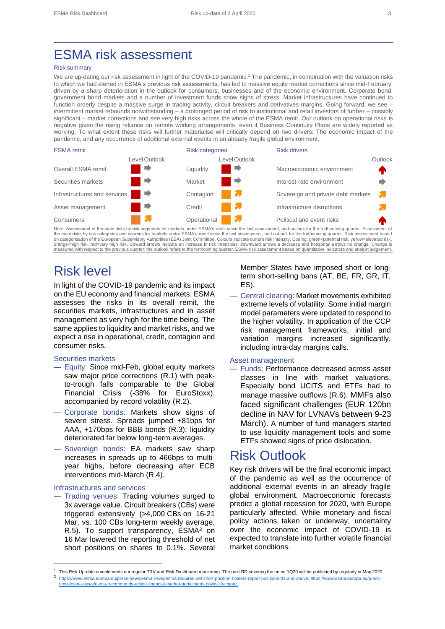# ESMA risk assessment

#### Risk summary

We are up-dating our risk assessment in light of the COVID-19 pandemic.<sup>1</sup> The pandemic, in combination with the valuation risks to which we had alerted in ESMA's previous risk assessments, has led to massive equity market corrections since mid-February, driven by a sharp deterioration in the outlook for consumers, businesses and of the economic environment. Corporate bond, government bond markets and a number of investment funds show signs of stress. Market infrastructures have continued to function orderly despite a massive surge in trading activity, circuit breakers and derivatives margins. Going forward, we see – intermittent market rebounds notwithstanding – a prolonged period of risk to institutional and retail investors of further – possibly significant – market corrections and see very high risks across the whole of the ESMA remit. Our outlook on operational risks is negative given the rising reliance on remote working arrangements, even if Business Continuity Plans are widely reported as working. To what extent these risks will further materialise will critically depend on two drivers: The economic impact of the pandemic, and any occurrence of additional external events in an already fragile global environment.



Note: Assessment of the main risks by risk segments for markets under ESMA's remit since the last assessment, and outlook for the forthcoming quarter. Assessment of the main risks by risk categories and sources for markets under ESMA's remit since the last assessment, and outlook for the forthcoming quarter. Risk assessment based<br>on categorisation of the European Supervisory Authoriti orange=high risk, red=very high risk. Upward arrows indicate an increase in risk intensities, downward arrows a decrease and horizontal arrows no change. Change is measured with respect to the previous quarter; the outlook refers to the forthcoming quarter. ESMA risk assessment based on quantitative indicators and analyst judgement.

## Risk level

In light of the COVID-19 pandemic and its impact on the EU economy and financial markets, ESMA assesses the risks in its overall remit, the securities markets, infrastructures and in asset management as very high for the time being. The same applies to liquidity and market risks, and we expect a rise in operational, credit, contagion and consumer risks.

#### Securities markets

- Equity: Since mid-Feb, global equity markets saw major price corrections (R.1) with peakto-trough falls comparable to the Global Financial Crisis (-38% for EuroStoxx), accompanied by record volatility (R.2).
- Corporate bonds: Markets show signs of severe stress. Spreads jumped +81bps for AAA, +170bps for BBB bonds (R.3); liquidity deteriorated far below long-term averages.
- Sovereign bonds: EA markets saw sharp increases in spreads up to 466bps to multiyear highs, before decreasing after ECB interventions mid-March (R.4).

#### Infrastructures and services

— Trading venues: Trading volumes surged to 3x average value. Circuit breakers (CBs) were triggered extensively (>4,000 CBs on 16-21 Mar, vs. 100 CBs long-term weekly average, R.5). To support transparency, ESMA<sup>2</sup> on 16 Mar lowered the reporting threshold of net short positions on shares to 0.1%. Several

Member States have imposed short or longterm short-selling bans (AT, BE, FR, GR, IT, ES).

— Central clearing: Market movements exhibited extreme levels of volatility. Some initial margin model parameters were updated to respond to the higher volatility. In application of the CCP risk management frameworks, initial and variation margins increased significantly, including intra-day margins calls.

#### Asset management

— Funds: Performance decreased across asset classes in line with market valuations. Especially bond UCITS and ETFs had to manage massive outflows (R.6). MMFs also faced significant challenges (EUR 120bn decline in NAV for LVNAVs between 9-23 March). A number of fund managers started to use liquidity management tools and some ETFs showed signs of price dislocation.

### Risk Outlook

Key risk drivers will be the final economic impact of the pandemic as well as the occurrence of additional external events in an already fragile global environment. Macroeconomic forecasts predict a global recession for 2020, with Europe particularly affected. While monetary and fiscal policy actions taken or underway, uncertainty over the economic impact of COVID-19 is expected to translate into further volatile financial market conditions.

<sup>1</sup> This Risk Up-date complements our regular TRV and Risk Dashboard monitoring. The next RD covering the entire 1Q20 will be published by regularly in May 2020. 2 [https://www.esma.europa.eu/press-news/esma-news/esma-requires-net-short-position-holders-report-positions-01-and-above;](https://www.esma.europa.eu/press-news/esma-news/esma-requires-net-short-position-holders-report-positions-01-and-above) [https://www.esma.europa.eu/press-](https://www.esma.europa.eu/press-news/esma-news/esma-recommends-action-financial-market-participants-covid-19-impact)

<sup>-</sup>action-financial-market-participants-covid-19-impact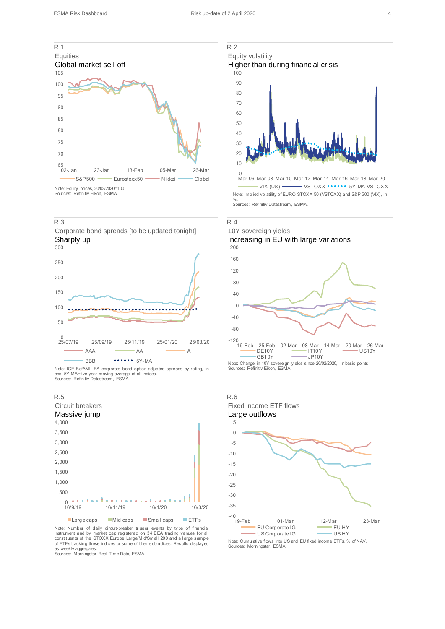

Note: Equity prices, 20/02/2020=100. Sources: Refinitiv Eikon, ESMA.









Note: ICE BofAML EA corporate bond option-adjusted spreads by rating, in bps. 5Y-MA=five-year moving average of all indices. Sources: Refinitiv Datastream, ESMA.



■ Large caps ■ Mid caps ■ Small caps ■ Lill-s<br>Note: Number of daily circuit-breaker trigger events by type of financial<br>instrument and by market cap registered on 34 EEA trading venues for all<br>constituents of the STOXX Eu of ETFs tracking these indices or some of their subindices. Results displayed as weekly aggregates. Sources: Morningstar Real-Time Data, ESMA.





Mar-06 Mar-08 Mar-10 Mar-12 Mar-14 Mar-16 Mar-18 Mar-20 VIX (US) VSTOXX \*\*\*\*\*\* 5Y-MA VSTOXX Note: Implied vol atility of EURO STOXX 50 (VSTOXX) and S&P 500 (VIX), in %. Sources: Refinitiv Datastream, ESMA.



200





Note: Cumulative flows into US and EU fixed income ETFs, % of NAV. Sources: Morningstar, ESMA.